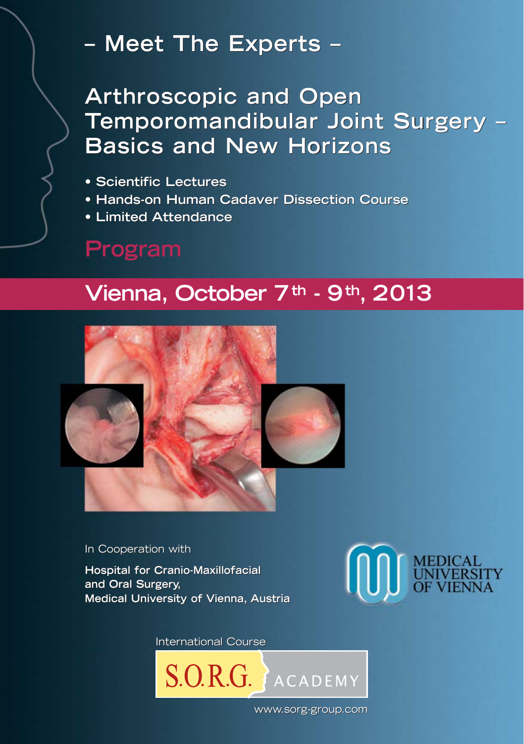# **– Meet The Experts –**

**Arthroscopic and Open Temporomandibular Joint Surgery – Basics and New Horizons** Arthroscopic and Open<br>Temporomandibular Joint Surgery –<br>Basics and New Horizons

- **Scientific Lectures**
- **Hands-on Human Cadaver Dissection Course**
- **Limited Attendance**

# **Program**

# **Vienna, October 7th - 9th, 2013**



In Cooperation with

**Hospital for Cranio-Maxillofacial Hospital for and Oral Surgery, and Oral Surgery, Medical University of Vienna, Austria Medical University of Vienna, Austria**



International Course International Course



www.sorg-group.com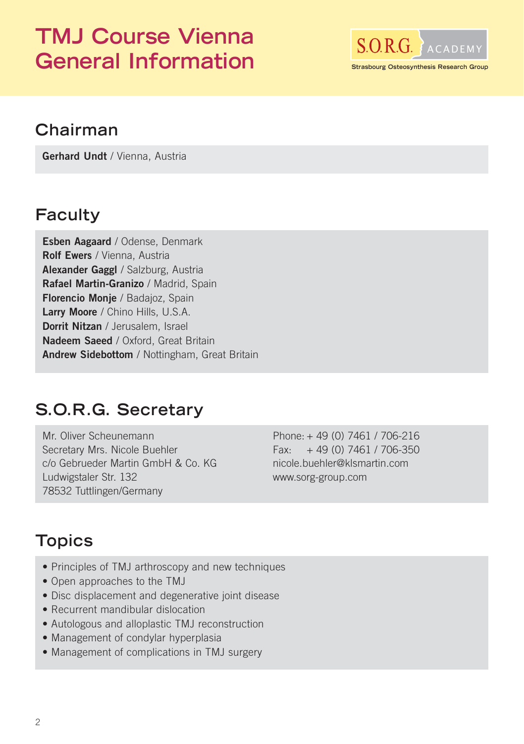# **TMJ Course Vienna** General Information **Strasbourg Osteosynthesis Research Group**



## **Chairman**

**Gerhard Undt** / Vienna, Austria

### **Faculty**

**Esben Aagaard** / Odense, Denmark **Rolf Ewers** / Vienna, Austria **Alexander Gaggl** / Salzburg, Austria **Rafael Martin-Granizo** / Madrid, Spain **Florencio Monje** / Badajoz, Spain **Larry Moore** / Chino Hills, U.S.A. **Dorrit Nitzan** / Jerusalem, Israel **Nadeem Saeed** / Oxford, Great Britain **Andrew Sidebottom** / Nottingham, Great Britain

#### **S.O.R.G. Secretary**

Mr. Oliver Scheunemann Secretary Mrs. Nicole Buehler c/o Gebrueder Martin GmbH & Co. KG Ludwigstaler Str. 132 78532 Tuttlingen/Germany

Phone: + 49 (0) 7461 / 706-216  $Fax: +49(0)7461/706-350$ nicole.buehler@klsmartin.com www.sorg-group.com

## **Topics**

- Principles of TMJ arthroscopy and new techniques
- Open approaches to the TMJ
- Disc displacement and degenerative joint disease
- Recurrent mandibular dislocation
- Autologous and alloplastic TMJ reconstruction
- Management of condylar hyperplasia
- Management of complications in TMJ surgery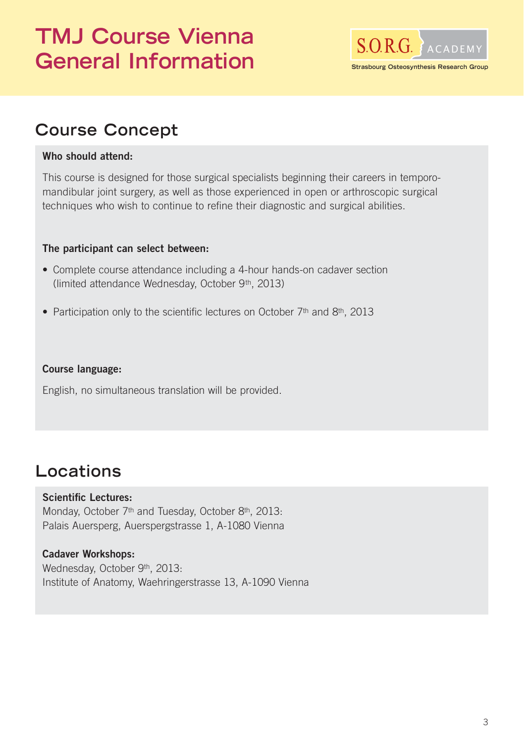# **TMJ Course Vienna SORG** ACADEMY General Information **Strasbourg Osteosynthesis Research Group**



## **Course Concept**

#### **Who should attend:**

This course is designed for those surgical specialists beginning their careers in temporomandibular joint surgery, as well as those experienced in open or arthroscopic surgical techniques who wish to continue to refine their diagnostic and surgical abilities.

#### **The participant can select between:**

- Complete course attendance including a 4-hour hands-on cadaver section (limited attendance Wednesday, October 9th, 2013)
- Participation only to the scientific lectures on October 7<sup>th</sup> and 8<sup>th</sup>, 2013

#### **Course language:**

English, no simultaneous translation will be provided.

## **Locations**

#### **Scientific Lectures:**

Monday, October 7<sup>th</sup> and Tuesday, October 8<sup>th</sup>, 2013: Palais Auersperg, Auerspergstrasse 1, A-1080 Vienna

#### **Cadaver Workshops:**

Wednesday, October 9th, 2013: Institute of Anatomy, Waehringerstrasse 13, A-1090 Vienna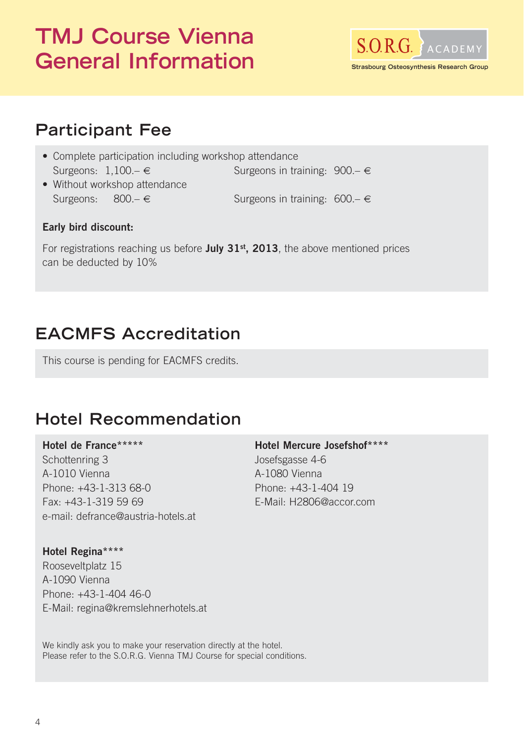# **TMJ Course Vienna** General Information **Strasbourg Osteosynthesis Research Group**



## **Participant Fee**

- Complete participation including workshop attendance Surgeons:  $1,100 - \epsilon$  Surgeons in training:  $900 - \epsilon$ • Without workshop attendance<br>Surgeons:  $800 - \epsilon$
- Surgeons in training:  $600 \epsilon$

#### **Early bird discount:**

For registrations reaching us before **July 31st, 2013**, the above mentioned prices can be deducted by 10%

## **EACMFS Accreditation**

This course is pending for EACMFS credits.

## **Hotel Recommendation**

#### **Hotel de France\*\*\*\*\***

Schottenring 3 A-1010 Vienna Phone: +43-1-313 68-0 Fax: +43-1-319 59 69 e-mail: defrance@austria-hotels.at **Hotel Mercure Josefshof\*\*\*\***

Josefsgasse 4-6 A-1080 Vienna Phone: +43-1-404 19 E-Mail: H2806@accor.com

**Hotel Regina\*\*\*\*** Rooseveltplatz 15 A-1090 Vienna Phone: +43-1-404 46-0 E-Mail: regina@kremslehnerhotels.at

We kindly ask you to make your reservation directly at the hotel. Please refer to the S.O.R.G. Vienna TMJ Course for special conditions.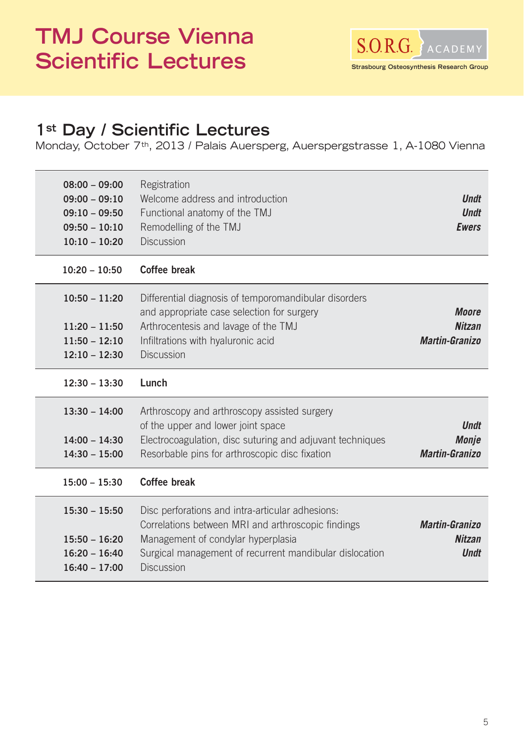# **TMJ Course Vienna SORG** ACADEMY **S.O.R.G.** ACADEMY<br> **Scientific Lectures**



### **1st Day / Scientific Lectures**

Monday, October 7th, 2013 / Palais Auersperg, Auerspergstrasse 1, A-1080 Vienna

| $08:00 - 09:00$<br>$09:00 - 09:10$<br>$09:10 - 09:50$<br>$09:50 - 10:10$<br>$10:10 - 10:20$ | Registration<br>Welcome address and introduction<br>Functional anatomy of the TMJ<br>Remodelling of the TMJ<br><b>Discussion</b>                                                                                             | <b>Undt</b><br><b>Undt</b><br><b>Ewers</b>             |
|---------------------------------------------------------------------------------------------|------------------------------------------------------------------------------------------------------------------------------------------------------------------------------------------------------------------------------|--------------------------------------------------------|
| $10:20 - 10:50$                                                                             | Coffee break                                                                                                                                                                                                                 |                                                        |
| $10:50 - 11:20$<br>$11:20 - 11:50$<br>$11:50 - 12:10$<br>$12:10 - 12:30$                    | Differential diagnosis of temporomandibular disorders<br>and appropriate case selection for surgery<br>Arthrocentesis and lavage of the TMJ<br>Infiltrations with hyaluronic acid<br><b>Discussion</b>                       | <b>Moore</b><br><b>Nitzan</b><br><b>Martin-Granizo</b> |
| $12:30 - 13:30$                                                                             | Lunch                                                                                                                                                                                                                        |                                                        |
| $13:30 - 14:00$<br>$14:00 - 14:30$<br>$14:30 - 15:00$                                       | Arthroscopy and arthroscopy assisted surgery<br>of the upper and lower joint space<br>Electrocoagulation, disc suturing and adjuvant techniques<br>Resorbable pins for arthroscopic disc fixation                            | <b>Undt</b><br>Monje<br><b>Martin-Granizo</b>          |
| $15:00 - 15:30$                                                                             | Coffee break                                                                                                                                                                                                                 |                                                        |
| $15:30 - 15:50$<br>$15:50 - 16:20$<br>$16:20 - 16:40$<br>$16:40 - 17:00$                    | Disc perforations and intra-articular adhesions:<br>Correlations between MRI and arthroscopic findings<br>Management of condylar hyperplasia<br>Surgical management of recurrent mandibular dislocation<br><b>Discussion</b> | <b>Martin-Granizo</b><br><b>Nitzan</b><br><b>Undt</b>  |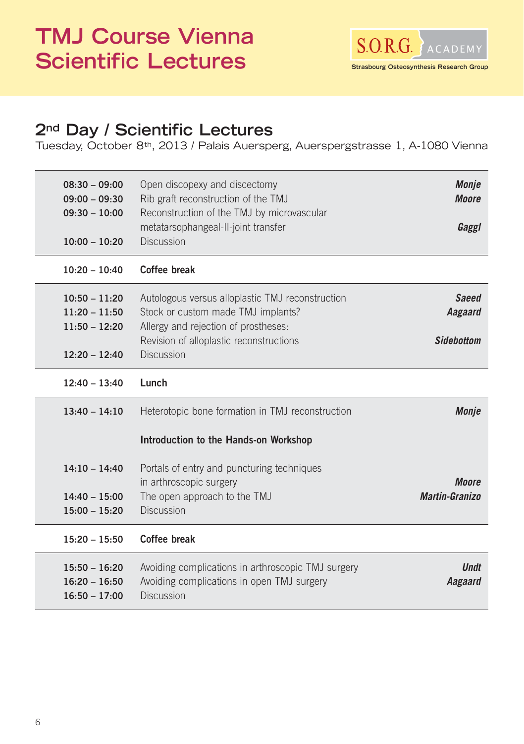# **TMJ Course Vienna Scientific Lectures**



## **2nd Day / Scientific Lectures**

Tuesday, October 8th, 2013 / Palais Auersperg, Auerspergstrasse 1, A-1080 Vienna

| $08:30 - 09:00$<br>$09:00 - 09:30$<br>$09:30 - 10:00$ | Open discopexy and discectomy<br>Rib graft reconstruction of the TMJ<br>Reconstruction of the TMJ by microvascular<br>metatarsophangeal-II-joint transfer                 | <b>Monje</b><br><b>Moore</b><br>Gaggl        |
|-------------------------------------------------------|---------------------------------------------------------------------------------------------------------------------------------------------------------------------------|----------------------------------------------|
| $10:00 - 10:20$                                       | <b>Discussion</b>                                                                                                                                                         |                                              |
| $10:20 - 10:40$                                       | Coffee break                                                                                                                                                              |                                              |
| $10:50 - 11:20$<br>$11:20 - 11:50$<br>$11:50 - 12:20$ | Autologous versus alloplastic TMJ reconstruction<br>Stock or custom made TMJ implants?<br>Allergy and rejection of prostheses:<br>Revision of alloplastic reconstructions | <b>Saeed</b><br>Aagaard<br><b>Sidebottom</b> |
| $12:20 - 12:40$                                       | <b>Discussion</b>                                                                                                                                                         |                                              |
| $12:40 - 13:40$                                       | Lunch                                                                                                                                                                     |                                              |
| $13:40 - 14:10$                                       | Heterotopic bone formation in TMJ reconstruction                                                                                                                          | Monje                                        |
|                                                       | Introduction to the Hands-on Workshop                                                                                                                                     |                                              |
| $14:10 - 14:40$<br>$14:40 - 15:00$<br>$15:00 - 15:20$ | Portals of entry and puncturing techniques<br>in arthroscopic surgery<br>The open approach to the TMJ<br><b>Discussion</b>                                                | <b>Moore</b><br><b>Martin-Granizo</b>        |
| $15:20 - 15:50$                                       | Coffee break                                                                                                                                                              |                                              |
| $15:50 - 16:20$<br>$16:20 - 16:50$<br>$16:50 - 17:00$ | Avoiding complications in arthroscopic TMJ surgery<br>Avoiding complications in open TMJ surgery<br><b>Discussion</b>                                                     | <b>Undt</b><br>Aagaard                       |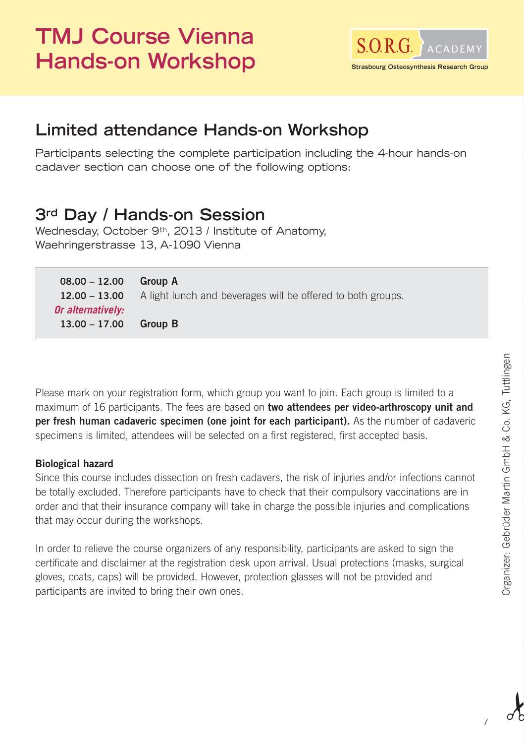# **TMJ Course Vienna** S.O.R.G. ACADEMY Hands-on Workshop **Strasbourg Osteosynthesis Research**



## **Limited attendance Hands-on Workshop**

Participants selecting the complete participation including the 4-hour hands-on cadaver section can choose one of the following options:

## **3rd Day / Hands-on Session**

Wednesday, October 9<sup>th</sup>, 2013 / Institute of Anatomy, Waehringerstrasse 13, A-1090 Vienna

| $08.00 - 12.00$   | <b>Group A</b>                                              |
|-------------------|-------------------------------------------------------------|
| $12.00 - 13.00$   | A light lunch and beverages will be offered to both groups. |
| Or alternatively: |                                                             |
| $13.00 - 17.00$   | <b>Group B</b>                                              |

Please mark on your registration form, which group you want to join. Each group is limited to a maximum of 16 participants. The fees are based on **two attendees per video-arthroscopy unit and per fresh human cadaveric specimen (one joint for each participant).** As the number of cadaveric specimens is limited, attendees will be selected on a first registered, first accepted basis.

#### **Biological hazard**

Since this course includes dissection on fresh cadavers, the risk of injuries and/or infections cannot be totally excluded. Therefore participants have to check that their compulsory vaccinations are in order and that their insurance company will take in charge the possible injuries and complications that may occur during the workshops.

In order to relieve the course organizers of any responsibility, participants are asked to sign the certificate and disclaimer at the registration desk upon arrival. Usual protections (masks, surgical gloves, coats, caps) will be provided. However, protection glasses will not be provided and participants are invited to bring their own ones.

7

 $\lambda$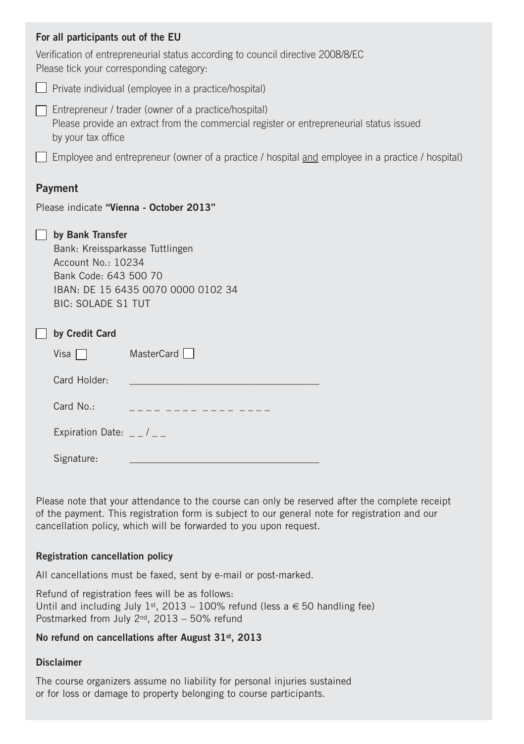| For all participants out of the EU                                                                                                                                    |  |  |  |  |
|-----------------------------------------------------------------------------------------------------------------------------------------------------------------------|--|--|--|--|
| Verification of entrepreneurial status according to council directive 2008/8/EC<br>Please tick your corresponding category:                                           |  |  |  |  |
| Private individual (employee in a practice/hospital)                                                                                                                  |  |  |  |  |
| Entrepreneur / trader (owner of a practice/hospital)<br>Please provide an extract from the commercial register or entrepreneurial status issued<br>by your tax office |  |  |  |  |
| Employee and entrepreneur (owner of a practice / hospital and employee in a practice / hospital)                                                                      |  |  |  |  |
| Payment                                                                                                                                                               |  |  |  |  |
| Please indicate "Vienna - October 2013"                                                                                                                               |  |  |  |  |
| by Bank Transfer<br>Bank: Kreissparkasse Tuttlingen<br>Account No.: 10234<br>Bank Code: 643 500 70<br>IBAN: DE 15 6435 0070 0000 0102 34<br><b>BIC: SOLADE S1 TUT</b> |  |  |  |  |
| by Credit Card                                                                                                                                                        |  |  |  |  |
| MasterCard<br>Visa $\Box$                                                                                                                                             |  |  |  |  |
| Card Holder:                                                                                                                                                          |  |  |  |  |
| Card No.:<br>. _ _ _ _ _ _ _ _ _ _ _ _ .                                                                                                                              |  |  |  |  |
| Expiration Date: $-$ / $-$                                                                                                                                            |  |  |  |  |
| Signature:                                                                                                                                                            |  |  |  |  |

Please note that your attendance to the course can only be reserved after the complete receipt of the payment. This registration form is subject to our general note for registration and our cancellation policy, which will be forwarded to you upon request.

#### **Registration cancellation policy**

All cancellations must be faxed, sent by e-mail or post-marked.

Refund of registration fees will be as follows: Until and including July 1st, 2013 – 100% refund (less a  $\in$  50 handling fee) Postmarked from July 2nd, 2013 – 50% refund

#### **No refund on cancellations after August 31st, 2013**

#### **Disclaimer**

The course organizers assume no liability for personal injuries sustained or for loss or damage to property belonging to course participants.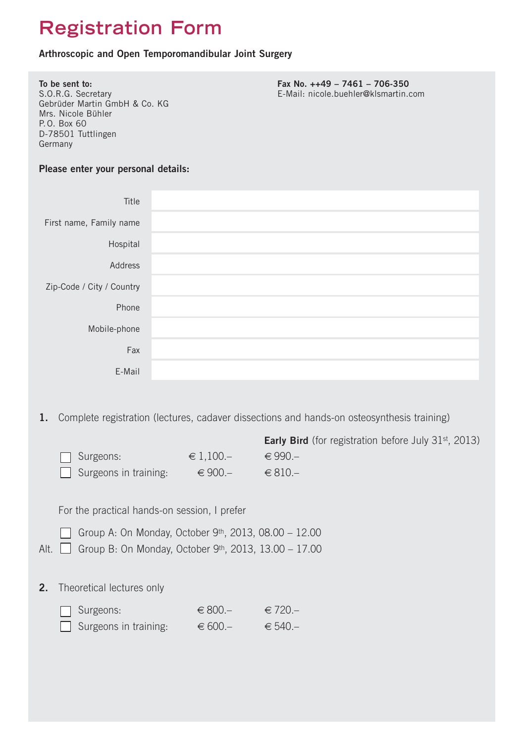# **Registration Form**

#### **Arthroscopic and Open Temporomandibular Joint Surgery**

| Germany                                              | To be sent to:<br>S.O.R.G. Secretary<br>Gebrüder Martin GmbH & Co. KG<br>Mrs. Nicole Bühler<br>P.O. Box 60<br>D-78501 Tuttlingen |                           | Fax No. ++49 - 7461 - 706-350<br>E-Mail: nicole.buehler@klsmartin.com                                                                                                  |  |  |
|------------------------------------------------------|----------------------------------------------------------------------------------------------------------------------------------|---------------------------|------------------------------------------------------------------------------------------------------------------------------------------------------------------------|--|--|
|                                                      | Please enter your personal details:                                                                                              |                           |                                                                                                                                                                        |  |  |
|                                                      | Title                                                                                                                            |                           |                                                                                                                                                                        |  |  |
| First name, Family name                              |                                                                                                                                  |                           |                                                                                                                                                                        |  |  |
|                                                      | Hospital                                                                                                                         |                           |                                                                                                                                                                        |  |  |
|                                                      | Address                                                                                                                          |                           |                                                                                                                                                                        |  |  |
| Zip-Code / City / Country                            |                                                                                                                                  |                           |                                                                                                                                                                        |  |  |
|                                                      | Phone                                                                                                                            |                           |                                                                                                                                                                        |  |  |
|                                                      | Mobile-phone                                                                                                                     |                           |                                                                                                                                                                        |  |  |
|                                                      | Fax                                                                                                                              |                           |                                                                                                                                                                        |  |  |
|                                                      | E-Mail                                                                                                                           |                           |                                                                                                                                                                        |  |  |
| 1.                                                   |                                                                                                                                  |                           | Complete registration (lectures, cadaver dissections and hands-on osteosynthesis training)<br><b>Early Bird</b> (for registration before July 31 <sup>st</sup> , 2013) |  |  |
|                                                      | Surgeons:                                                                                                                        | $∈ 1,100-$                | €990.-                                                                                                                                                                 |  |  |
|                                                      | Surgeons in training:                                                                                                            | $\epsilon$ 900.-          | $€ 810-$                                                                                                                                                               |  |  |
| For the practical hands-on session, I prefer         |                                                                                                                                  |                           |                                                                                                                                                                        |  |  |
| Group A: On Monday, October 9th, 2013, 08.00 - 12.00 |                                                                                                                                  |                           |                                                                                                                                                                        |  |  |
|                                                      | Alt. Group B: On Monday, October 9th, 2013, 13.00 - 17.00                                                                        |                           |                                                                                                                                                                        |  |  |
| 2.                                                   | Theoretical lectures only                                                                                                        |                           |                                                                                                                                                                        |  |  |
|                                                      | Surgeons:<br>Surgeons in training:                                                                                               | $\in 800-$<br>$\in 600 -$ | $\epsilon$ 720.-<br>$€ 540 -$                                                                                                                                          |  |  |